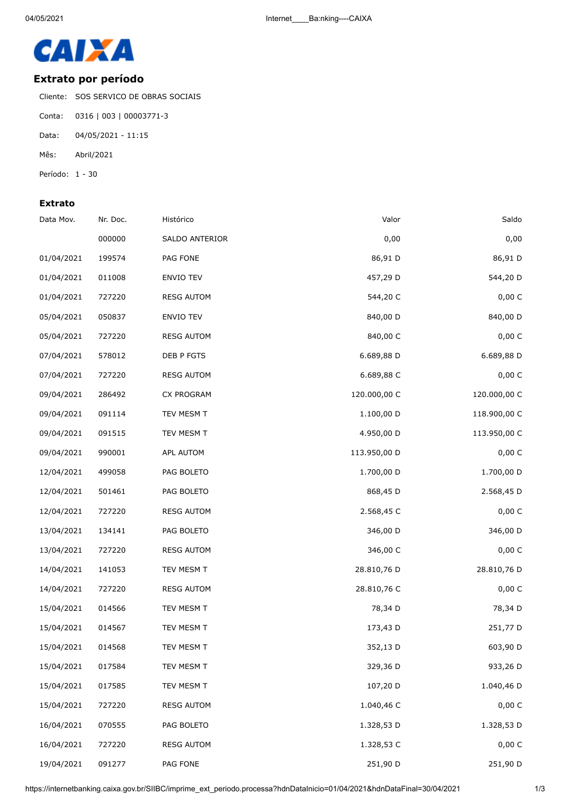

## **Extrato por período**

Cliente: SOS SERVICO DE OBRAS SOCIAIS

- Conta: 0316 | 003 | 00003771-3
- Data: 04/05/2021 11:15
- Mês: Abril/2021
- Período: 1 30

## **Extrato**

| Data Mov.  | Nr. Doc. | Histórico         | Valor        | Saldo        |
|------------|----------|-------------------|--------------|--------------|
|            | 000000   | SALDO ANTERIOR    | 0,00         | 0,00         |
| 01/04/2021 | 199574   | PAG FONE          | 86,91 D      | 86,91 D      |
| 01/04/2021 | 011008   | <b>ENVIO TEV</b>  | 457,29 D     | 544,20 D     |
| 01/04/2021 | 727220   | <b>RESG AUTOM</b> | 544,20 C     | 0,00 C       |
| 05/04/2021 | 050837   | ENVIO TEV         | 840,00 D     | 840,00 D     |
| 05/04/2021 | 727220   | <b>RESG AUTOM</b> | 840,00 C     | 0,00 C       |
| 07/04/2021 | 578012   | DEB P FGTS        | 6.689,88 D   | 6.689,88 D   |
| 07/04/2021 | 727220   | <b>RESG AUTOM</b> | 6.689,88 C   | 0,00 C       |
| 09/04/2021 | 286492   | CX PROGRAM        | 120.000,00 C | 120.000,00 C |
| 09/04/2021 | 091114   | TEV MESM T        | 1.100,00 D   | 118.900,00 C |
| 09/04/2021 | 091515   | TEV MESM T        | 4.950,00 D   | 113.950,00 C |
| 09/04/2021 | 990001   | APL AUTOM         | 113.950,00 D | 0,00 C       |
| 12/04/2021 | 499058   | PAG BOLETO        | 1.700,00 D   | 1.700,00 D   |
| 12/04/2021 | 501461   | PAG BOLETO        | 868,45 D     | 2.568,45 D   |
| 12/04/2021 | 727220   | <b>RESG AUTOM</b> | 2.568,45 C   | 0,00 C       |
| 13/04/2021 | 134141   | PAG BOLETO        | 346,00 D     | 346,00 D     |
| 13/04/2021 | 727220   | <b>RESG AUTOM</b> | 346,00 C     | 0,00 C       |
| 14/04/2021 | 141053   | TEV MESM T        | 28.810,76 D  | 28.810,76 D  |
| 14/04/2021 | 727220   | <b>RESG AUTOM</b> | 28.810,76 C  | 0,00 C       |
| 15/04/2021 | 014566   | TEV MESM T        | 78,34 D      | 78,34 D      |
| 15/04/2021 | 014567   | TEV MESM T        | 173,43 D     | 251,77 D     |
| 15/04/2021 | 014568   | TEV MESM T        | 352,13 D     | 603,90 D     |
| 15/04/2021 | 017584   | TEV MESM T        | 329,36 D     | 933,26 D     |
| 15/04/2021 | 017585   | TEV MESM T        | 107,20 D     | 1.040,46 D   |
| 15/04/2021 | 727220   | <b>RESG AUTOM</b> | 1.040,46 C   | 0,00 C       |
| 16/04/2021 | 070555   | PAG BOLETO        | 1.328,53 D   | 1.328,53 D   |
| 16/04/2021 | 727220   | <b>RESG AUTOM</b> | 1.328,53 C   | 0,00 C       |
| 19/04/2021 | 091277   | PAG FONE          | 251,90 D     | 251,90 D     |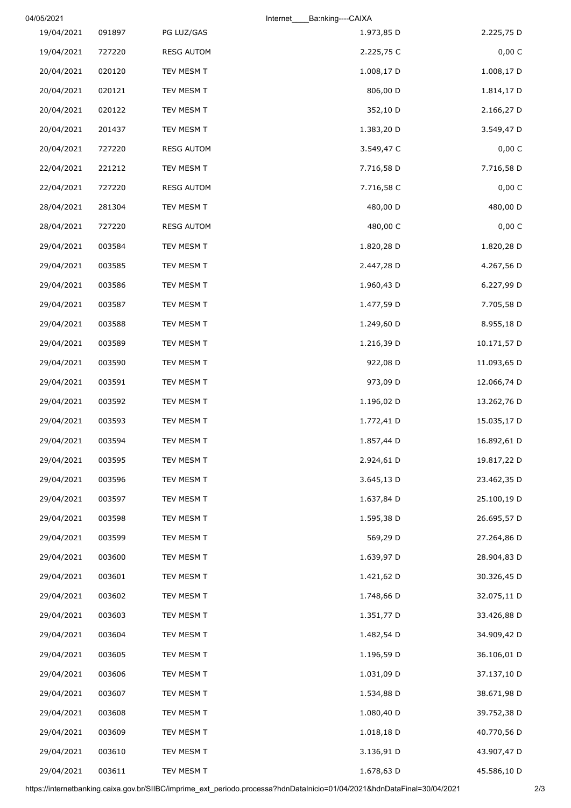|             | Internet<br>Ba:nking----CAIXA |                   |        | 04/05/2021 |
|-------------|-------------------------------|-------------------|--------|------------|
| 2.225,75 D  | 1.973,85 D                    | PG LUZ/GAS        | 091897 | 19/04/2021 |
| 0,00 C      | 2.225,75 C                    | <b>RESG AUTOM</b> | 727220 | 19/04/2021 |
| 1.008,17 D  | 1.008,17 D                    | TEV MESM T        | 020120 | 20/04/2021 |
| 1.814,17 D  | 806,00 D                      | TEV MESM T        | 020121 | 20/04/2021 |
| 2.166,27 D  | 352,10 D                      | TEV MESM T        | 020122 | 20/04/2021 |
| 3.549,47 D  | 1.383,20 D                    | TEV MESM T        | 201437 | 20/04/2021 |
| 0,00 C      | 3.549,47 C                    | <b>RESG AUTOM</b> | 727220 | 20/04/2021 |
| 7.716,58 D  | 7.716,58 D                    | TEV MESM T        | 221212 | 22/04/2021 |
| 0,00 C      | 7.716,58 C                    | <b>RESG AUTOM</b> | 727220 | 22/04/2021 |
| 480,00 D    | 480,00 D                      | TEV MESM T        | 281304 | 28/04/2021 |
| 0,00 C      | 480,00 C                      | <b>RESG AUTOM</b> | 727220 | 28/04/2021 |
| 1.820,28 D  | 1.820,28 D                    | TEV MESM T        | 003584 | 29/04/2021 |
| 4.267,56 D  | 2.447,28 D                    | TEV MESM T        | 003585 | 29/04/2021 |
| 6.227,99 D  | 1.960,43 D                    | TEV MESM T        | 003586 | 29/04/2021 |
| 7.705,58 D  | 1.477,59 D                    | TEV MESM T        | 003587 | 29/04/2021 |
| 8.955,18 D  | 1.249,60 D                    | TEV MESM T        | 003588 | 29/04/2021 |
| 10.171,57 D | 1.216,39 D                    | TEV MESM T        | 003589 | 29/04/2021 |
| 11.093,65 D | 922,08 D                      | TEV MESM T        | 003590 | 29/04/2021 |
| 12.066,74 D | 973,09 D                      | TEV MESM T        | 003591 | 29/04/2021 |
| 13.262,76 D | 1.196,02 D                    | TEV MESM T        | 003592 | 29/04/2021 |
| 15.035,17 D | 1.772,41 D                    | TEV MESM T        | 003593 | 29/04/2021 |
| 16.892,61 D | 1.857,44 D                    | TEV MESM T        | 003594 | 29/04/2021 |
| 19.817,22 D | 2.924,61 D                    | TEV MESM T        | 003595 | 29/04/2021 |
| 23.462,35 D | 3.645,13 D                    | TEV MESM T        | 003596 | 29/04/2021 |
| 25.100,19 D | 1.637,84 D                    | TEV MESM T        | 003597 | 29/04/2021 |
| 26.695,57 D | 1.595,38 D                    | TEV MESM T        | 003598 | 29/04/2021 |
| 27.264,86 D | 569,29 D                      | TEV MESM T        | 003599 | 29/04/2021 |
| 28.904,83 D | 1.639,97 D                    | TEV MESM T        | 003600 | 29/04/2021 |
| 30.326,45 D | 1.421,62 D                    | TEV MESM T        | 003601 | 29/04/2021 |
| 32.075,11 D | 1.748,66 D                    | TEV MESM T        | 003602 | 29/04/2021 |
| 33.426,88 D | 1.351,77 D                    | TEV MESM T        | 003603 | 29/04/2021 |
| 34.909,42 D | 1.482,54 D                    | TEV MESM T        | 003604 | 29/04/2021 |
| 36.106,01 D | 1.196,59 D                    | TEV MESM T        | 003605 | 29/04/2021 |
| 37.137,10 D | 1.031,09 D                    | TEV MESM T        | 003606 | 29/04/2021 |
| 38.671,98 D | 1.534,88 D                    | TEV MESM T        | 003607 | 29/04/2021 |
| 39.752,38 D | 1.080,40 D                    | TEV MESM T        | 003608 | 29/04/2021 |
| 40.770,56 D | 1.018,18 D                    | TEV MESM T        | 003609 | 29/04/2021 |
| 43.907,47 D | 3.136,91 D                    | TEV MESM T        | 003610 | 29/04/2021 |
| 45.586,10 D | 1.678,63 D                    | TEV MESM T        | 003611 | 29/04/2021 |

https://internetbanking.caixa.gov.br/SIIBC/imprime\_ext\_periodo.processa?hdnDataInicio=01/04/2021&hdnDataFinal=30/04/2021 2/3